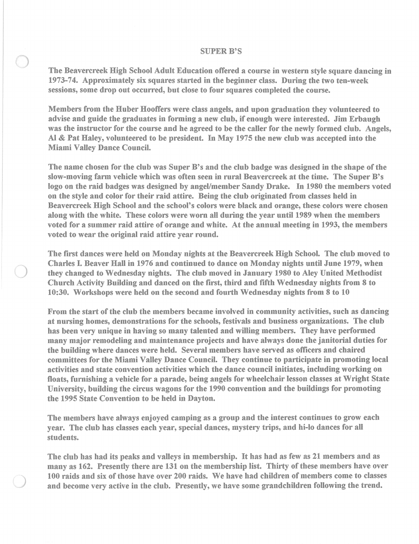## SUPER B'S

The Beavercreek High School Adult Education offered a course in western style square dancing in 1973-74. Approximately six squares started in the beginner class. During the two ten-week sessions, some drop out occurred, but close to four squares completed the course.

Members from the Huber Hooffers were class angels, and upon graduation they volunteered to advise and guide the graduates in forming a new club, if enough were interested. Jim Erbaugh was the instructor for the course and he agreed to be the caller for the newly formed club. Angels, AI & Pat Haley, volunteered to be president. In May 1975 the new club was accepted into the Miami Valley Dance Council.

The name chosen for the club was Super B's and the club badge was designed in the shape of the slow-moving farm vehicle which was often seen in rural Beavercreek at the time. The Super B's logo on the raid badges was designed by angel/member Sandy Drake. In 1980 the members voted on the style and color for their raid attire. Being the club originated from classes held in Beavercreek High School and the school's colors were black and orange, these colors were chosen along with the white. These colors were worn all during the year until 1989 when the members voted for a summer raid attire of orange and white. At the annual meeting in 1993, the members voted to wear the original raid attire year round.

The first dances were held on Monday nights at the Beavercreek High School. The club moved to Charles I. Beaver Hall in 1976 and continued to dance on Monday nights until June 1979, when they changed to Wednesday nights. The club moved in January 1980 to Aley United Methodist Church Activity Building and danced on the first, third and fifth Wednesday nights from 8 to 10:30. Workshops were held on the second and fourth Wednesday nights from 8 to 10

From the start of the club the members became involved in community activities, such as dancing at nursing homes, demonstrations for the schools, festivals and business organizations. The club has been very unique in having so many talented and willing members. They have performed many major remodeling and maintenance projects and have always done the janitorial duties for the building where dances were held. Several members have served as officers and chaired committees for the Miami Valley Dance Council. They continue to participate in promoting local activities and state convention activities which the dance council initiates, including working on floats, furnishing a vehicle for a parade, being angels for wheelchair lesson classes at Wright State University, building the circus wagons for the 1990 convention and the buildings for promoting the 1995 State Convention to be held in Dayton.

The members have always enjoyed camping as a group and the interest continues to grow each year. The club has classes each year, special dances, mystery trips, and hi-Io dances for all students.

The club has had its peaks and valleys in membership. It has had as few as 21 members and as many as 162. Presently there are 131 on the membership list. Thirty of these members have over 100 raids and six of those have over 200 raids. We have had children of members come to classes and become very active in the club. Presently, we have some grandchildren following the trend.